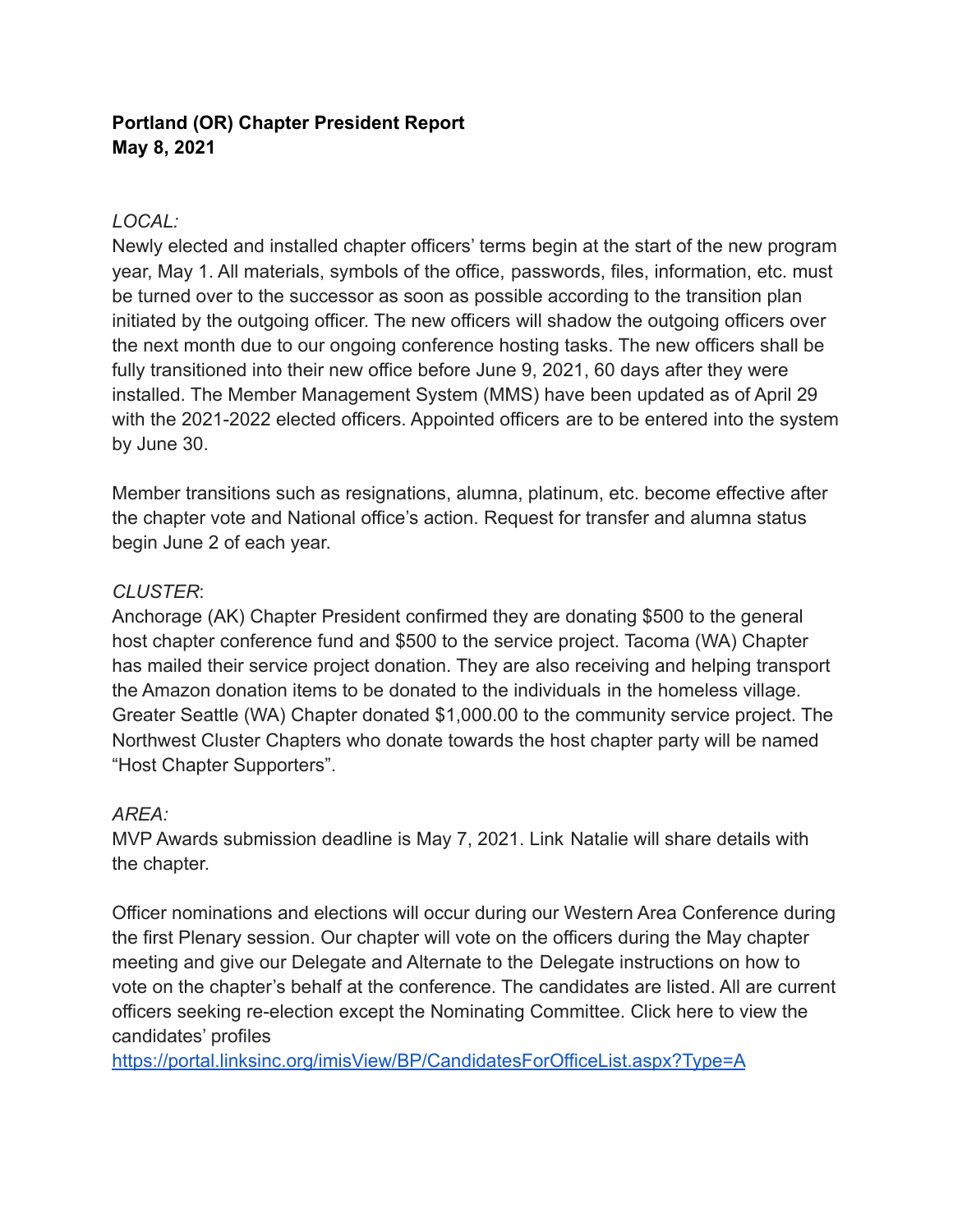# **Portland (OR) Chapter President Report May 8, 2021**

### *LOCAL:*

Newly elected and installed chapter officers' terms begin at the start of the new program year, May 1. All materials, symbols of the office, passwords, files, information, etc. must be turned over to the successor as soon as possible according to the transition plan initiated by the outgoing officer. The new officers will shadow the outgoing officers over the next month due to our ongoing conference hosting tasks. The new officers shall be fully transitioned into their new office before June 9, 2021, 60 days after they were installed. The Member Management System (MMS) have been updated as of April 29 with the 2021-2022 elected officers. Appointed officers are to be entered into the system by June 30.

Member transitions such as resignations, alumna, platinum, etc. become effective after the chapter vote and National office's action. Request for transfer and alumna status begin June 2 of each year.

#### *CLUSTER*:

Anchorage (AK) Chapter President confirmed they are donating \$500 to the general host chapter conference fund and \$500 to the service project. Tacoma (WA) Chapter has mailed their service project donation. They are also receiving and helping transport the Amazon donation items to be donated to the individuals in the homeless village. Greater Seattle (WA) Chapter donated \$1,000.00 to the community service project. The Northwest Cluster Chapters who donate towards the host chapter party will be named "Host Chapter Supporters".

## *AREA:*

MVP Awards submission deadline is May 7, 2021. Link Natalie will share details with the chapter.

Officer nominations and elections will occur during our Western Area Conference during the first Plenary session. Our chapter will vote on the officers during the May chapter meeting and give our Delegate and Alternate to the Delegate instructions on how to vote on the chapter's behalf at the conference. The candidates are listed. All are current officers seeking re-election except the Nominating Committee. Click here to view the candidates' profiles

<https://portal.linksinc.org/imisView/BP/CandidatesForOfficeList.aspx?Type=A>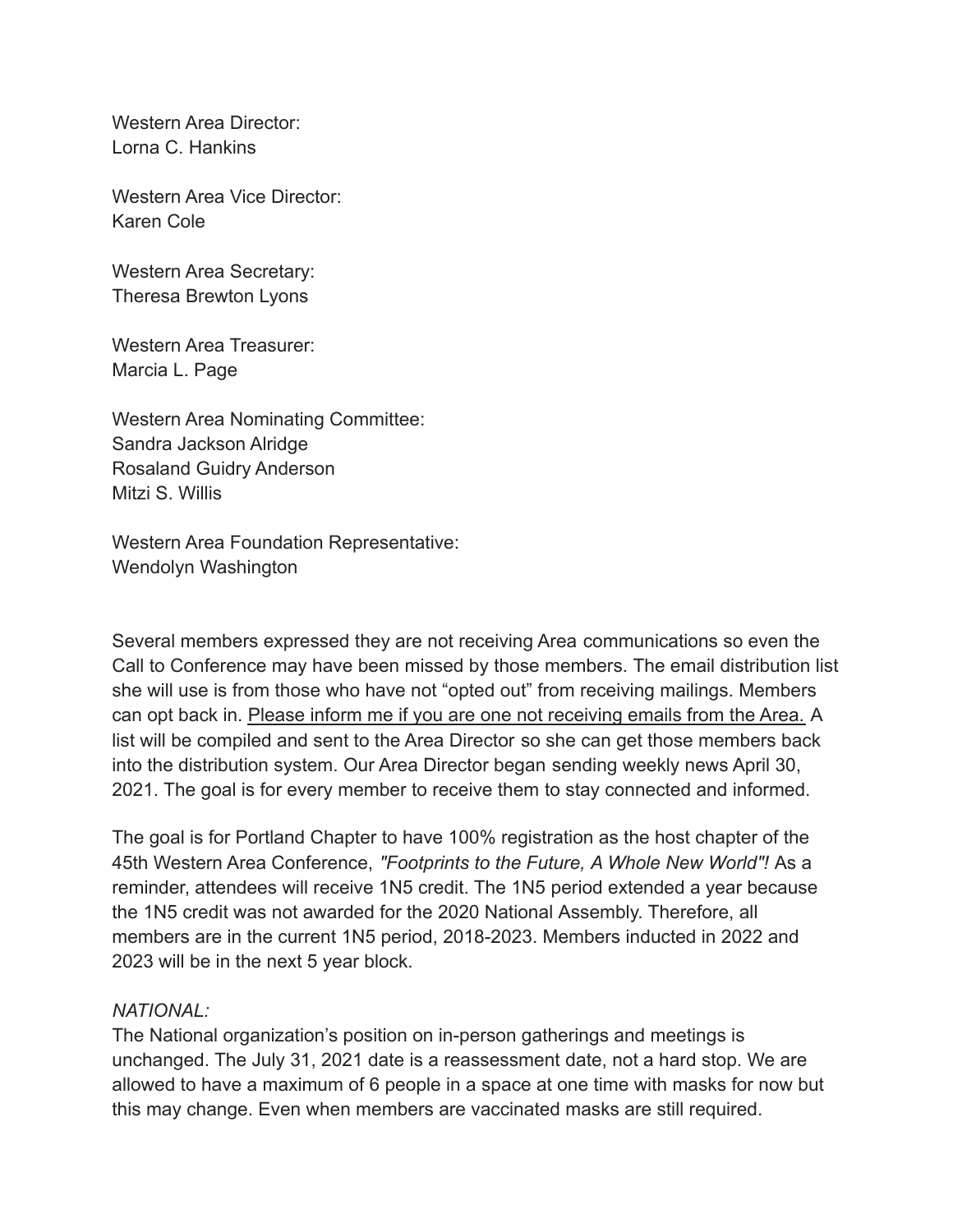Western Area Director: Lorna C. Hankins

Western Area Vice Director: Karen Cole

Western Area Secretary: Theresa Brewton Lyons

Western Area Treasurer: Marcia L. Page

Western Area Nominating Committee: Sandra Jackson Alridge Rosaland Guidry Anderson Mitzi S. Willis

Western Area Foundation Representative: Wendolyn Washington

Several members expressed they are not receiving Area communications so even the Call to Conference may have been missed by those members. The email distribution list she will use is from those who have not "opted out" from receiving mailings. Members can opt back in. Please inform me if you are one not receiving emails from the Area. A list will be compiled and sent to the Area Director so she can get those members back into the distribution system. Our Area Director began sending weekly news April 30, 2021. The goal is for every member to receive them to stay connected and informed.

The goal is for Portland Chapter to have 100% registration as the host chapter of the 45th Western Area Conference, *"Footprints to the Future, A Whole New World"!* As a reminder, attendees will receive 1N5 credit. The 1N5 period extended a year because the 1N5 credit was not awarded for the 2020 National Assembly. Therefore, all members are in the current 1N5 period, 2018-2023. Members inducted in 2022 and 2023 will be in the next 5 year block.

#### *NATIONAL:*

The National organization's position on in-person gatherings and meetings is unchanged. The July 31, 2021 date is a reassessment date, not a hard stop. We are allowed to have a maximum of 6 people in a space at one time with masks for now but this may change. Even when members are vaccinated masks are still required.